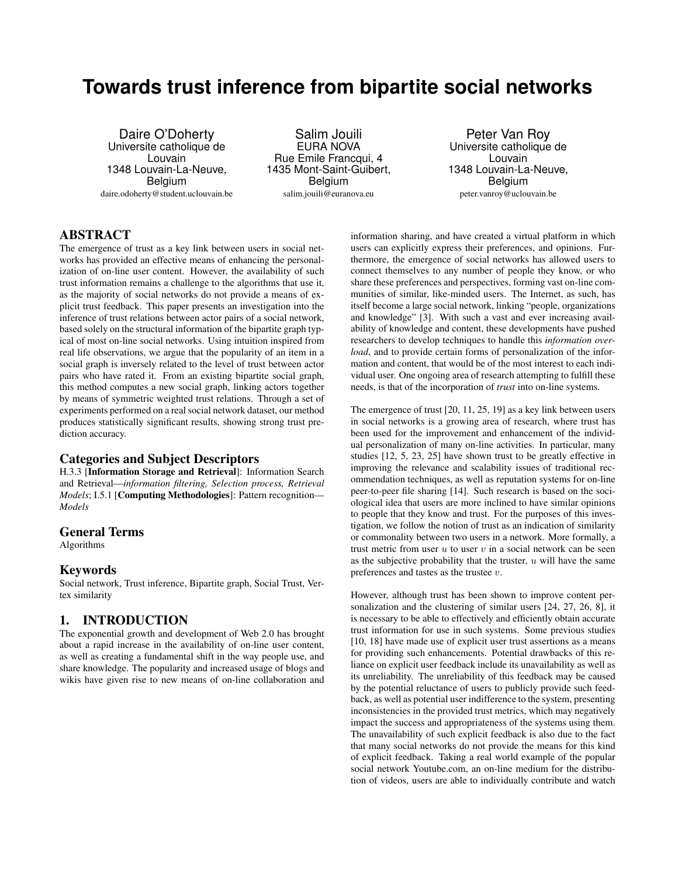# **Towards trust inference from bipartite social networks**

Daire O'Doherty Universite catholique de Louvain 1348 Louvain-La-Neuve, Belgium daire.odoherty@student.uclouvain.be

Salim Jouili EURA NOVA Rue Emile Francqui, 4 1435 Mont-Saint-Guibert, Belgium salim.jouili@euranova.eu

Peter Van Roy Universite catholique de Louvain 1348 Louvain-La-Neuve, Belgium peter.vanroy@uclouvain.be

# ABSTRACT

The emergence of trust as a key link between users in social networks has provided an effective means of enhancing the personalization of on-line user content. However, the availability of such trust information remains a challenge to the algorithms that use it, as the majority of social networks do not provide a means of explicit trust feedback. This paper presents an investigation into the inference of trust relations between actor pairs of a social network, based solely on the structural information of the bipartite graph typical of most on-line social networks. Using intuition inspired from real life observations, we argue that the popularity of an item in a social graph is inversely related to the level of trust between actor pairs who have rated it. From an existing bipartite social graph, this method computes a new social graph, linking actors together by means of symmetric weighted trust relations. Through a set of experiments performed on a real social network dataset, our method produces statistically significant results, showing strong trust prediction accuracy.

## Categories and Subject Descriptors

H.3.3 [Information Storage and Retrieval]: Information Search and Retrieval—*information filtering, Selection process, Retrieval Models*; I.5.1 [Computing Methodologies]: Pattern recognition— *Models*

#### General Terms

Algorithms

#### Keywords

Social network, Trust inference, Bipartite graph, Social Trust, Vertex similarity

# 1. INTRODUCTION

The exponential growth and development of Web 2.0 has brought about a rapid increase in the availability of on-line user content, as well as creating a fundamental shift in the way people use, and share knowledge. The popularity and increased usage of blogs and wikis have given rise to new means of on-line collaboration and information sharing, and have created a virtual platform in which users can explicitly express their preferences, and opinions. Furthermore, the emergence of social networks has allowed users to connect themselves to any number of people they know, or who share these preferences and perspectives, forming vast on-line communities of similar, like-minded users. The Internet, as such, has itself become a large social network, linking "people, organizations and knowledge" [3]. With such a vast and ever increasing availability of knowledge and content, these developments have pushed researchers to develop techniques to handle this *information overload*, and to provide certain forms of personalization of the information and content, that would be of the most interest to each individual user. One ongoing area of research attempting to fulfill these needs, is that of the incorporation of *trust* into on-line systems.

The emergence of trust [20, 11, 25, 19] as a key link between users in social networks is a growing area of research, where trust has been used for the improvement and enhancement of the individual personalization of many on-line activities. In particular, many studies [12, 5, 23, 25] have shown trust to be greatly effective in improving the relevance and scalability issues of traditional recommendation techniques, as well as reputation systems for on-line peer-to-peer file sharing [14]. Such research is based on the sociological idea that users are more inclined to have similar opinions to people that they know and trust. For the purposes of this investigation, we follow the notion of trust as an indication of similarity or commonality between two users in a network. More formally, a trust metric from user  $u$  to user  $v$  in a social network can be seen as the subjective probability that the truster,  $u$  will have the same preferences and tastes as the trustee v.

However, although trust has been shown to improve content personalization and the clustering of similar users [24, 27, 26, 8], it is necessary to be able to effectively and efficiently obtain accurate trust information for use in such systems. Some previous studies [10, 18] have made use of explicit user trust assertions as a means for providing such enhancements. Potential drawbacks of this reliance on explicit user feedback include its unavailability as well as its unreliability. The unreliability of this feedback may be caused by the potential reluctance of users to publicly provide such feedback, as well as potential user indifference to the system, presenting inconsistencies in the provided trust metrics, which may negatively impact the success and appropriateness of the systems using them. The unavailability of such explicit feedback is also due to the fact that many social networks do not provide the means for this kind of explicit feedback. Taking a real world example of the popular social network Youtube.com, an on-line medium for the distribution of videos, users are able to individually contribute and watch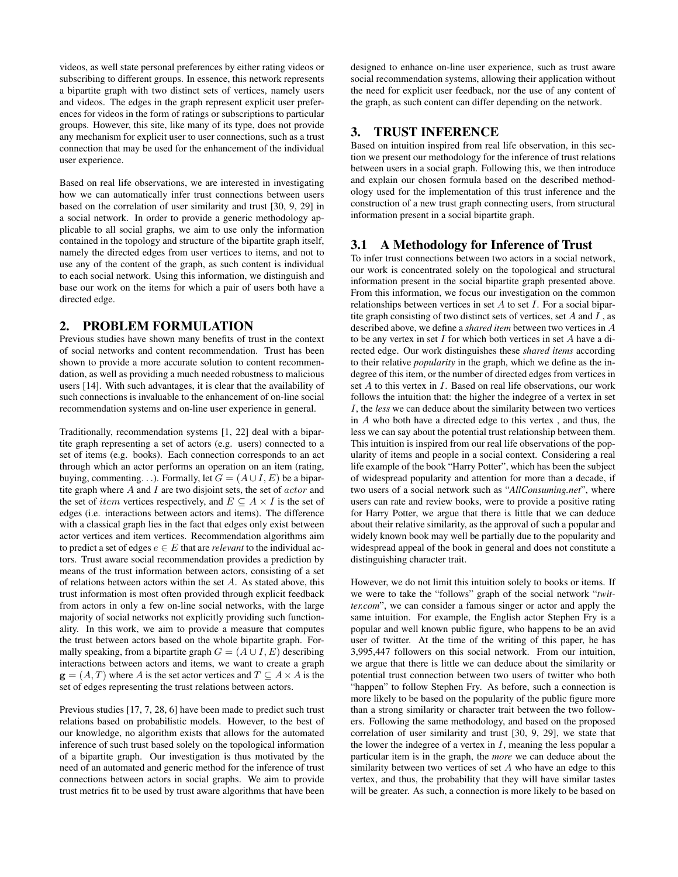videos, as well state personal preferences by either rating videos or subscribing to different groups. In essence, this network represents a bipartite graph with two distinct sets of vertices, namely users and videos. The edges in the graph represent explicit user preferences for videos in the form of ratings or subscriptions to particular groups. However, this site, like many of its type, does not provide any mechanism for explicit user to user connections, such as a trust connection that may be used for the enhancement of the individual user experience.

Based on real life observations, we are interested in investigating how we can automatically infer trust connections between users based on the correlation of user similarity and trust [30, 9, 29] in a social network. In order to provide a generic methodology applicable to all social graphs, we aim to use only the information contained in the topology and structure of the bipartite graph itself, namely the directed edges from user vertices to items, and not to use any of the content of the graph, as such content is individual to each social network. Using this information, we distinguish and base our work on the items for which a pair of users both have a directed edge.

## 2. PROBLEM FORMULATION

Previous studies have shown many benefits of trust in the context of social networks and content recommendation. Trust has been shown to provide a more accurate solution to content recommendation, as well as providing a much needed robustness to malicious users [14]. With such advantages, it is clear that the availability of such connections is invaluable to the enhancement of on-line social recommendation systems and on-line user experience in general.

Traditionally, recommendation systems [1, 22] deal with a bipartite graph representing a set of actors (e.g. users) connected to a set of items (e.g. books). Each connection corresponds to an act through which an actor performs an operation on an item (rating, buying, commenting. . .). Formally, let  $G = (A \cup I, E)$  be a bipartite graph where  $A$  and  $I$  are two disjoint sets, the set of  $actor$  and the set of *item* vertices respectively, and  $E \subseteq A \times I$  is the set of edges (i.e. interactions between actors and items). The difference with a classical graph lies in the fact that edges only exist between actor vertices and item vertices. Recommendation algorithms aim to predict a set of edges  $e \in E$  that are *relevant* to the individual actors. Trust aware social recommendation provides a prediction by means of the trust information between actors, consisting of a set of relations between actors within the set A. As stated above, this trust information is most often provided through explicit feedback from actors in only a few on-line social networks, with the large majority of social networks not explicitly providing such functionality. In this work, we aim to provide a measure that computes the trust between actors based on the whole bipartite graph. Formally speaking, from a bipartite graph  $G = (A \cup I, E)$  describing interactions between actors and items, we want to create a graph  $g = (A, T)$  where A is the set actor vertices and  $T \subseteq A \times A$  is the set of edges representing the trust relations between actors.

Previous studies [17, 7, 28, 6] have been made to predict such trust relations based on probabilistic models. However, to the best of our knowledge, no algorithm exists that allows for the automated inference of such trust based solely on the topological information of a bipartite graph. Our investigation is thus motivated by the need of an automated and generic method for the inference of trust connections between actors in social graphs. We aim to provide trust metrics fit to be used by trust aware algorithms that have been designed to enhance on-line user experience, such as trust aware social recommendation systems, allowing their application without the need for explicit user feedback, nor the use of any content of the graph, as such content can differ depending on the network.

# 3. TRUST INFERENCE

Based on intuition inspired from real life observation, in this section we present our methodology for the inference of trust relations between users in a social graph. Following this, we then introduce and explain our chosen formula based on the described methodology used for the implementation of this trust inference and the construction of a new trust graph connecting users, from structural information present in a social bipartite graph.

# 3.1 A Methodology for Inference of Trust

To infer trust connections between two actors in a social network, our work is concentrated solely on the topological and structural information present in the social bipartite graph presented above. From this information, we focus our investigation on the common relationships between vertices in set  $A$  to set  $I$ . For a social bipartite graph consisting of two distinct sets of vertices, set  $A$  and  $I$ , as described above, we define a *shared item* between two vertices in A to be any vertex in set  $I$  for which both vertices in set  $A$  have a directed edge. Our work distinguishes these *shared items* according to their relative *popularity* in the graph, which we define as the indegree of this item, or the number of directed edges from vertices in set A to this vertex in I. Based on real life observations, our work follows the intuition that: the higher the indegree of a vertex in set I, the *less* we can deduce about the similarity between two vertices in A who both have a directed edge to this vertex , and thus, the less we can say about the potential trust relationship between them. This intuition is inspired from our real life observations of the popularity of items and people in a social context. Considering a real life example of the book "Harry Potter", which has been the subject of widespread popularity and attention for more than a decade, if two users of a social network such as "*AllConsuming.net*", where users can rate and review books, were to provide a positive rating for Harry Potter, we argue that there is little that we can deduce about their relative similarity, as the approval of such a popular and widely known book may well be partially due to the popularity and widespread appeal of the book in general and does not constitute a distinguishing character trait.

However, we do not limit this intuition solely to books or items. If we were to take the "follows" graph of the social network "*twitter.com*", we can consider a famous singer or actor and apply the same intuition. For example, the English actor Stephen Fry is a popular and well known public figure, who happens to be an avid user of twitter. At the time of the writing of this paper, he has 3,995,447 followers on this social network. From our intuition, we argue that there is little we can deduce about the similarity or potential trust connection between two users of twitter who both "happen" to follow Stephen Fry. As before, such a connection is more likely to be based on the popularity of the public figure more than a strong similarity or character trait between the two followers. Following the same methodology, and based on the proposed correlation of user similarity and trust [30, 9, 29], we state that the lower the indegree of a vertex in  $I$ , meaning the less popular a particular item is in the graph, the *more* we can deduce about the similarity between two vertices of set A who have an edge to this vertex, and thus, the probability that they will have similar tastes will be greater. As such, a connection is more likely to be based on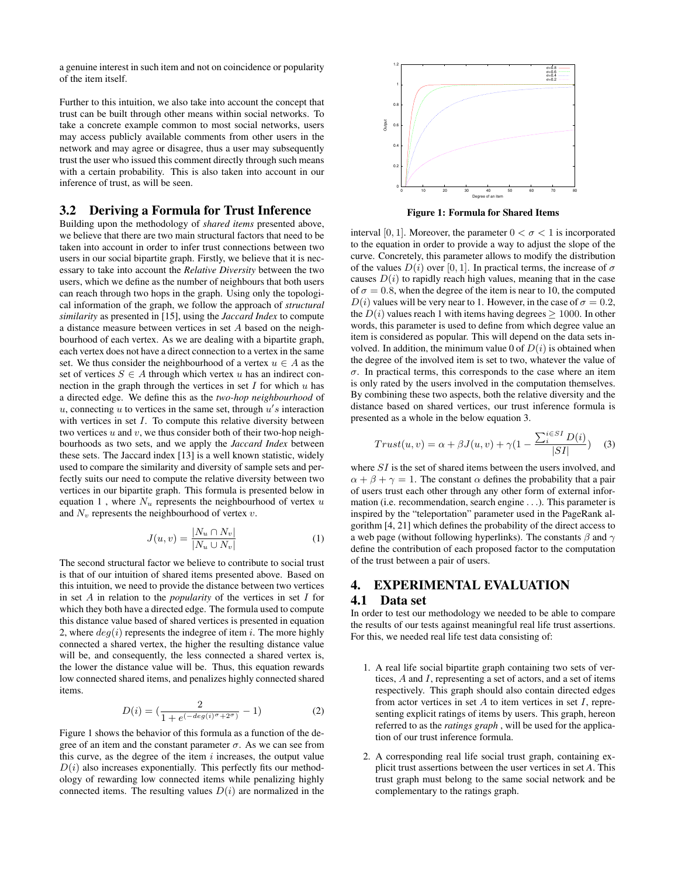a genuine interest in such item and not on coincidence or popularity of the item itself.

Further to this intuition, we also take into account the concept that trust can be built through other means within social networks. To take a concrete example common to most social networks, users may access publicly available comments from other users in the network and may agree or disagree, thus a user may subsequently trust the user who issued this comment directly through such means with a certain probability. This is also taken into account in our inference of trust, as will be seen.

#### 3.2 Deriving a Formula for Trust Inference

Building upon the methodology of *shared items* presented above, we believe that there are two main structural factors that need to be taken into account in order to infer trust connections between two users in our social bipartite graph. Firstly, we believe that it is necessary to take into account the *Relative Diversity* between the two users, which we define as the number of neighbours that both users can reach through two hops in the graph. Using only the topological information of the graph, we follow the approach of *structural similarity* as presented in [15], using the *Jaccard Index* to compute a distance measure between vertices in set A based on the neighbourhood of each vertex. As we are dealing with a bipartite graph, each vertex does not have a direct connection to a vertex in the same set. We thus consider the neighbourhood of a vertex  $u \in A$  as the set of vertices  $S \in A$  through which vertex u has an indirect connection in the graph through the vertices in set  $I$  for which  $u$  has a directed edge. We define this as the *two-hop neighbourhood* of  $u$ , connecting  $u$  to vertices in the same set, through  $u's$  interaction with vertices in set  $I$ . To compute this relative diversity between two vertices  $u$  and  $v$ , we thus consider both of their two-hop neighbourhoods as two sets, and we apply the *Jaccard Index* between these sets. The Jaccard index [13] is a well known statistic, widely used to compare the similarity and diversity of sample sets and perfectly suits our need to compute the relative diversity between two vertices in our bipartite graph. This formula is presented below in equation 1, where  $N_u$  represents the neighbourhood of vertex  $u$ and  $N_v$  represents the neighbourhood of vertex  $v$ .

$$
J(u,v) = \frac{|N_u \cap N_v|}{|N_u \cup N_v|} \tag{1}
$$

The second structural factor we believe to contribute to social trust is that of our intuition of shared items presented above. Based on this intuition, we need to provide the distance between two vertices in set A in relation to the *popularity* of the vertices in set I for which they both have a directed edge. The formula used to compute this distance value based of shared vertices is presented in equation 2, where  $deg(i)$  represents the indegree of item i. The more highly connected a shared vertex, the higher the resulting distance value will be, and consequently, the less connected a shared vertex is, the lower the distance value will be. Thus, this equation rewards low connected shared items, and penalizes highly connected shared items.

$$
D(i) = \left(\frac{2}{1 + e^{(-deg(i)\sigma + 2\sigma)}} - 1\right)
$$
 (2)

Figure 1 shows the behavior of this formula as a function of the degree of an item and the constant parameter  $\sigma$ . As we can see from this curve, as the degree of the item  $i$  increases, the output value  $D(i)$  also increases exponentially. This perfectly fits our methodology of rewarding low connected items while penalizing highly connected items. The resulting values  $D(i)$  are normalized in the



Figure 1: Formula for Shared Items

interval [0, 1]. Moreover, the parameter  $0 < \sigma < 1$  is incorporated to the equation in order to provide a way to adjust the slope of the curve. Concretely, this parameter allows to modify the distribution of the values  $D(i)$  over [0, 1]. In practical terms, the increase of  $\sigma$ causes  $D(i)$  to rapidly reach high values, meaning that in the case of  $\sigma = 0.8$ , when the degree of the item is near to 10, the computed  $D(i)$  values will be very near to 1. However, in the case of  $\sigma = 0.2$ , the  $D(i)$  values reach 1 with items having degrees  $\geq 1000$ . In other words, this parameter is used to define from which degree value an item is considered as popular. This will depend on the data sets involved. In addition, the minimum value 0 of  $D(i)$  is obtained when the degree of the involved item is set to two, whatever the value of  $\sigma$ . In practical terms, this corresponds to the case where an item is only rated by the users involved in the computation themselves. By combining these two aspects, both the relative diversity and the distance based on shared vertices, our trust inference formula is presented as a whole in the below equation 3.

$$
Trust(u, v) = \alpha + \beta J(u, v) + \gamma (1 - \frac{\sum_{i}^{i \in SI} D(i)}{|SI|})
$$
 (3)

where  $SI$  is the set of shared items between the users involved, and  $\alpha + \beta + \gamma = 1$ . The constant  $\alpha$  defines the probability that a pair of users trust each other through any other form of external information (i.e. recommendation, search engine . . .). This parameter is inspired by the "teleportation" parameter used in the PageRank algorithm [4, 21] which defines the probability of the direct access to a web page (without following hyperlinks). The constants  $\beta$  and  $\gamma$ define the contribution of each proposed factor to the computation of the trust between a pair of users.

# 4. EXPERIMENTAL EVALUATION

#### 4.1 Data set

In order to test our methodology we needed to be able to compare the results of our tests against meaningful real life trust assertions. For this, we needed real life test data consisting of:

- 1. A real life social bipartite graph containing two sets of vertices, A and I, representing a set of actors, and a set of items respectively. This graph should also contain directed edges from actor vertices in set  $A$  to item vertices in set  $I$ , representing explicit ratings of items by users. This graph, hereon referred to as the *ratings graph* , will be used for the application of our trust inference formula.
- 2. A corresponding real life social trust graph, containing explicit trust assertions between the user vertices in set *A*. This trust graph must belong to the same social network and be complementary to the ratings graph.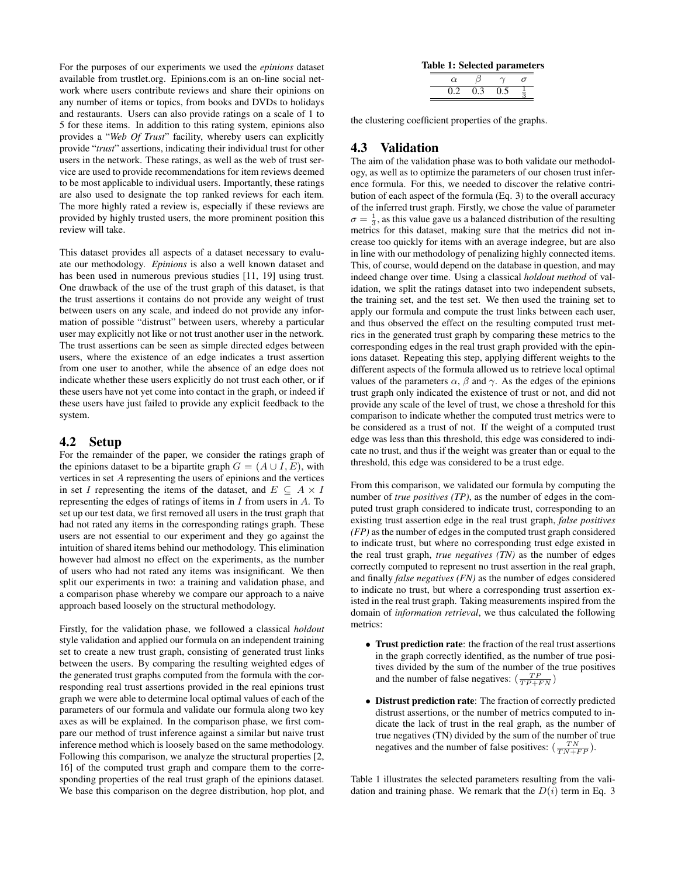For the purposes of our experiments we used the *epinions* dataset available from trustlet.org. Epinions.com is an on-line social network where users contribute reviews and share their opinions on any number of items or topics, from books and DVDs to holidays and restaurants. Users can also provide ratings on a scale of 1 to 5 for these items. In addition to this rating system, epinions also provides a "*Web Of Trust*" facility, whereby users can explicitly provide "*trust*" assertions, indicating their individual trust for other users in the network. These ratings, as well as the web of trust service are used to provide recommendations for item reviews deemed to be most applicable to individual users. Importantly, these ratings are also used to designate the top ranked reviews for each item. The more highly rated a review is, especially if these reviews are provided by highly trusted users, the more prominent position this review will take.

This dataset provides all aspects of a dataset necessary to evaluate our methodology. *Epinions* is also a well known dataset and has been used in numerous previous studies [11, 19] using trust. One drawback of the use of the trust graph of this dataset, is that the trust assertions it contains do not provide any weight of trust between users on any scale, and indeed do not provide any information of possible "distrust" between users, whereby a particular user may explicitly not like or not trust another user in the network. The trust assertions can be seen as simple directed edges between users, where the existence of an edge indicates a trust assertion from one user to another, while the absence of an edge does not indicate whether these users explicitly do not trust each other, or if these users have not yet come into contact in the graph, or indeed if these users have just failed to provide any explicit feedback to the system.

#### 4.2 Setup

For the remainder of the paper, we consider the ratings graph of the epinions dataset to be a bipartite graph  $G = (A \cup I, E)$ , with vertices in set A representing the users of epinions and the vertices in set I representing the items of the dataset, and  $E \subseteq A \times I$ representing the edges of ratings of items in  $I$  from users in  $A$ . To set up our test data, we first removed all users in the trust graph that had not rated any items in the corresponding ratings graph. These users are not essential to our experiment and they go against the intuition of shared items behind our methodology. This elimination however had almost no effect on the experiments, as the number of users who had not rated any items was insignificant. We then split our experiments in two: a training and validation phase, and a comparison phase whereby we compare our approach to a naive approach based loosely on the structural methodology.

Firstly, for the validation phase, we followed a classical *holdout* style validation and applied our formula on an independent training set to create a new trust graph, consisting of generated trust links between the users. By comparing the resulting weighted edges of the generated trust graphs computed from the formula with the corresponding real trust assertions provided in the real epinions trust graph we were able to determine local optimal values of each of the parameters of our formula and validate our formula along two key axes as will be explained. In the comparison phase, we first compare our method of trust inference against a similar but naive trust inference method which is loosely based on the same methodology. Following this comparison, we analyze the structural properties [2, 16] of the computed trust graph and compare them to the corresponding properties of the real trust graph of the epinions dataset. We base this comparison on the degree distribution, hop plot, and

| <b>Table 1: Selected parameters</b> |                  |     |     |   |
|-------------------------------------|------------------|-----|-----|---|
|                                     | $\alpha$         |     |     | σ |
|                                     | 0.2 <sub>z</sub> | 0.3 | 0.5 |   |

the clustering coefficient properties of the graphs.

# 4.3 Validation

The aim of the validation phase was to both validate our methodology, as well as to optimize the parameters of our chosen trust inference formula. For this, we needed to discover the relative contribution of each aspect of the formula (Eq. 3) to the overall accuracy of the inferred trust graph. Firstly, we chose the value of parameter  $\sigma = \frac{1}{3}$ , as this value gave us a balanced distribution of the resulting metrics for this dataset, making sure that the metrics did not increase too quickly for items with an average indegree, but are also in line with our methodology of penalizing highly connected items. This, of course, would depend on the database in question, and may indeed change over time. Using a classical *holdout method* of validation, we split the ratings dataset into two independent subsets, the training set, and the test set. We then used the training set to apply our formula and compute the trust links between each user, and thus observed the effect on the resulting computed trust metrics in the generated trust graph by comparing these metrics to the corresponding edges in the real trust graph provided with the epinions dataset. Repeating this step, applying different weights to the different aspects of the formula allowed us to retrieve local optimal values of the parameters  $\alpha$ ,  $\beta$  and  $\gamma$ . As the edges of the epinions trust graph only indicated the existence of trust or not, and did not provide any scale of the level of trust, we chose a threshold for this comparison to indicate whether the computed trust metrics were to be considered as a trust of not. If the weight of a computed trust edge was less than this threshold, this edge was considered to indicate no trust, and thus if the weight was greater than or equal to the threshold, this edge was considered to be a trust edge.

From this comparison, we validated our formula by computing the number of *true positives (TP)*, as the number of edges in the computed trust graph considered to indicate trust, corresponding to an existing trust assertion edge in the real trust graph, *false positives (FP)* as the number of edges in the computed trust graph considered to indicate trust, but where no corresponding trust edge existed in the real trust graph, *true negatives (TN)* as the number of edges correctly computed to represent no trust assertion in the real graph, and finally *false negatives (FN)* as the number of edges considered to indicate no trust, but where a corresponding trust assertion existed in the real trust graph. Taking measurements inspired from the domain of *information retrieval*, we thus calculated the following metrics:

- Trust prediction rate: the fraction of the real trust assertions in the graph correctly identified, as the number of true positives divided by the sum of the number of the true positives and the number of false negatives:  $(\frac{TP}{TP+FN})$
- Distrust prediction rate: The fraction of correctly predicted distrust assertions, or the number of metrics computed to indicate the lack of trust in the real graph, as the number of true negatives (TN) divided by the sum of the number of true negatives and the number of false positives:  $(\frac{TN}{TN+FP}$ .

Table 1 illustrates the selected parameters resulting from the validation and training phase. We remark that the  $D(i)$  term in Eq. 3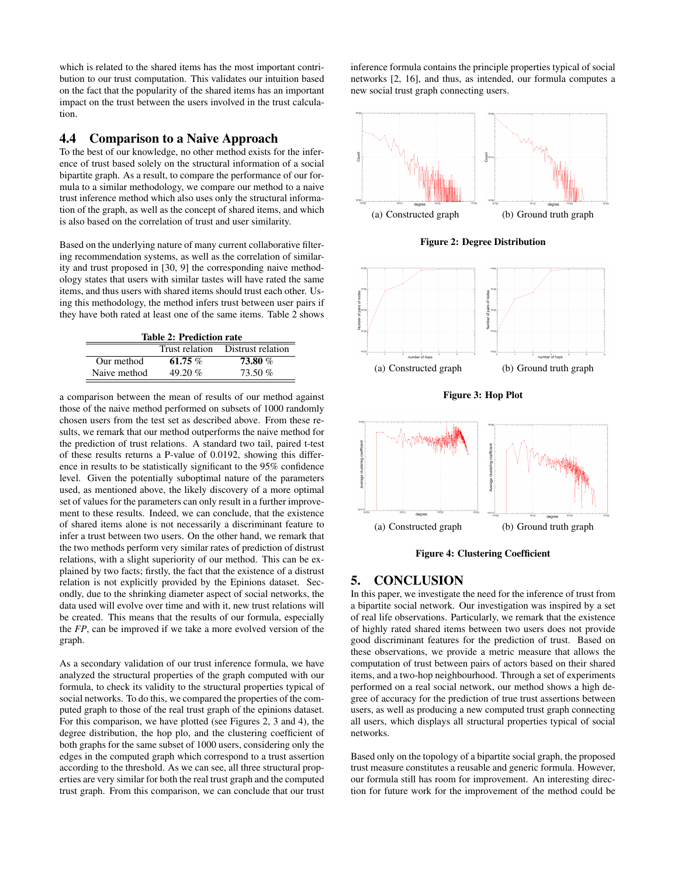which is related to the shared items has the most important contribution to our trust computation. This validates our intuition based on the fact that the popularity of the shared items has an important impact on the trust between the users involved in the trust calculation.

#### 4.4 Comparison to a Naive Approach

To the best of our knowledge, no other method exists for the inference of trust based solely on the structural information of a social bipartite graph. As a result, to compare the performance of our formula to a similar methodology, we compare our method to a naive trust inference method which also uses only the structural information of the graph, as well as the concept of shared items, and which is also based on the correlation of trust and user similarity.

Based on the underlying nature of many current collaborative filtering recommendation systems, as well as the correlation of similarity and trust proposed in [30, 9] the corresponding naive methodology states that users with similar tastes will have rated the same items, and thus users with shared items should trust each other. Using this methodology, the method infers trust between user pairs if they have both rated at least one of the same items. Table 2 shows

| <b>Table 2: Prediction rate</b> |           |                                  |  |  |
|---------------------------------|-----------|----------------------------------|--|--|
|                                 |           | Trust relation Distrust relation |  |  |
| Our method                      | 61.75 $%$ | 73.80 %                          |  |  |
| Naive method                    | 49.20 $%$ | 73.50 %                          |  |  |

a comparison between the mean of results of our method against those of the naive method performed on subsets of 1000 randomly chosen users from the test set as described above. From these results, we remark that our method outperforms the naive method for the prediction of trust relations. A standard two tail, paired t-test of these results returns a P-value of 0.0192, showing this difference in results to be statistically significant to the 95% confidence level. Given the potentially suboptimal nature of the parameters used, as mentioned above, the likely discovery of a more optimal set of values for the parameters can only result in a further improvement to these results. Indeed, we can conclude, that the existence of shared items alone is not necessarily a discriminant feature to infer a trust between two users. On the other hand, we remark that the two methods perform very similar rates of prediction of distrust relations, with a slight superiority of our method. This can be explained by two facts; firstly, the fact that the existence of a distrust relation is not explicitly provided by the Epinions dataset. Secondly, due to the shrinking diameter aspect of social networks, the data used will evolve over time and with it, new trust relations will be created. This means that the results of our formula, especially the *FP*, can be improved if we take a more evolved version of the graph.

As a secondary validation of our trust inference formula, we have analyzed the structural properties of the graph computed with our formula, to check its validity to the structural properties typical of social networks. To do this, we compared the properties of the computed graph to those of the real trust graph of the epinions dataset. For this comparison, we have plotted (see Figures 2, 3 and 4), the degree distribution, the hop plo, and the clustering coefficient of both graphs for the same subset of 1000 users, considering only the edges in the computed graph which correspond to a trust assertion according to the threshold. As we can see, all three structural properties are very similar for both the real trust graph and the computed trust graph. From this comparison, we can conclude that our trust inference formula contains the principle properties typical of social networks [2, 16], and thus, as intended, our formula computes a new social trust graph connecting users.



Figure 2: Degree Distribution



Figure 3: Hop Plot



Figure 4: Clustering Coefficient

#### 5. CONCLUSION

In this paper, we investigate the need for the inference of trust from a bipartite social network. Our investigation was inspired by a set of real life observations. Particularly, we remark that the existence of highly rated shared items between two users does not provide good discriminant features for the prediction of trust. Based on these observations, we provide a metric measure that allows the computation of trust between pairs of actors based on their shared items, and a two-hop neighbourhood. Through a set of experiments performed on a real social network, our method shows a high degree of accuracy for the prediction of true trust assertions between users, as well as producing a new computed trust graph connecting all users, which displays all structural properties typical of social networks.

Based only on the topology of a bipartite social graph, the proposed trust measure constitutes a reusable and generic formula. However, our formula still has room for improvement. An interesting direction for future work for the improvement of the method could be